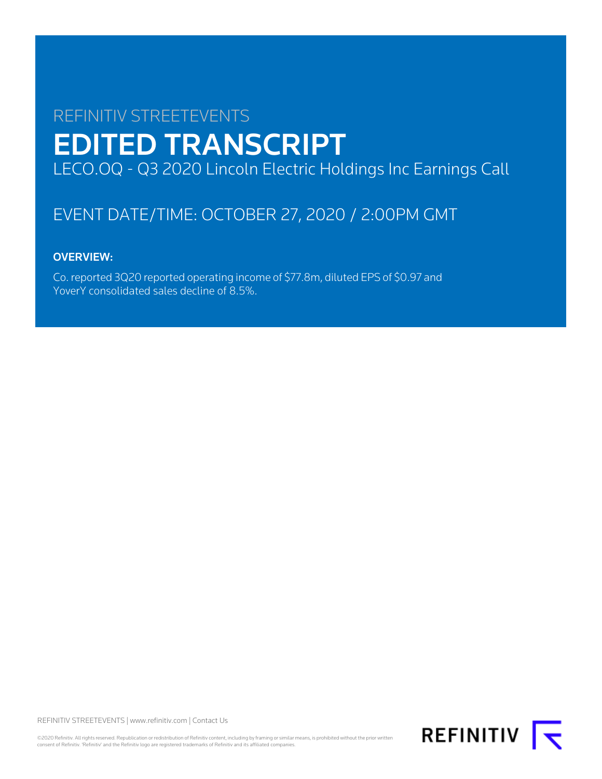# REFINITIV STREETEVENTS EDITED TRANSCRIPT LECO.OQ - Q3 2020 Lincoln Electric Holdings Inc Earnings Call

# EVENT DATE/TIME: OCTOBER 27, 2020 / 2:00PM GMT

# OVERVIEW:

Co. reported 3Q20 reported operating income of \$77.8m, diluted EPS of \$0.97 and YoverY consolidated sales decline of 8.5%.

REFINITIV STREETEVENTS | [www.refinitiv.com](https://www.refinitiv.com/) | [Contact Us](https://www.refinitiv.com/en/contact-us)

©2020 Refinitiv. All rights reserved. Republication or redistribution of Refinitiv content, including by framing or similar means, is prohibited without the prior written consent of Refinitiv. 'Refinitiv' and the Refinitiv logo are registered trademarks of Refinitiv and its affiliated companies.

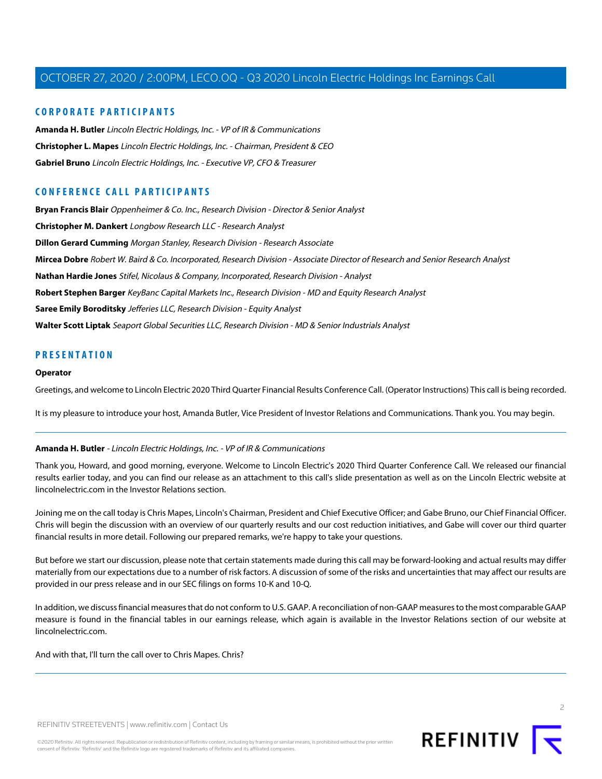# **CORPORATE PARTICIPANTS**

**[Amanda H. Butler](#page-1-0)** Lincoln Electric Holdings, Inc. - VP of IR & Communications **[Christopher L. Mapes](#page-2-0)** Lincoln Electric Holdings, Inc. - Chairman, President & CEO **[Gabriel Bruno](#page-3-0)** Lincoln Electric Holdings, Inc. - Executive VP, CFO & Treasurer

# **CONFERENCE CALL PARTICIPANTS**

**[Bryan Francis Blair](#page-6-0)** Oppenheimer & Co. Inc., Research Division - Director & Senior Analyst **[Christopher M. Dankert](#page-10-0)** Longbow Research LLC - Research Analyst **[Dillon Gerard Cumming](#page-12-0)** Morgan Stanley, Research Division - Research Associate **[Mircea Dobre](#page-8-0)** Robert W. Baird & Co. Incorporated, Research Division - Associate Director of Research and Senior Research Analyst **[Nathan Hardie Jones](#page-6-1)** Stifel, Nicolaus & Company, Incorporated, Research Division - Analyst **[Robert Stephen Barger](#page-14-0)** KeyBanc Capital Markets Inc., Research Division - MD and Equity Research Analyst **[Saree Emily Boroditsky](#page-4-0)** Jefferies LLC, Research Division - Equity Analyst **[Walter Scott Liptak](#page-11-0)** Seaport Global Securities LLC, Research Division - MD & Senior Industrials Analyst

# **PRESENTATION**

#### **Operator**

Greetings, and welcome to Lincoln Electric 2020 Third Quarter Financial Results Conference Call. (Operator Instructions) This call is being recorded.

<span id="page-1-0"></span>It is my pleasure to introduce your host, Amanda Butler, Vice President of Investor Relations and Communications. Thank you. You may begin.

# **Amanda H. Butler** - Lincoln Electric Holdings, Inc. - VP of IR & Communications

Thank you, Howard, and good morning, everyone. Welcome to Lincoln Electric's 2020 Third Quarter Conference Call. We released our financial results earlier today, and you can find our release as an attachment to this call's slide presentation as well as on the Lincoln Electric website at lincolnelectric.com in the Investor Relations section.

Joining me on the call today is Chris Mapes, Lincoln's Chairman, President and Chief Executive Officer; and Gabe Bruno, our Chief Financial Officer. Chris will begin the discussion with an overview of our quarterly results and our cost reduction initiatives, and Gabe will cover our third quarter financial results in more detail. Following our prepared remarks, we're happy to take your questions.

But before we start our discussion, please note that certain statements made during this call may be forward-looking and actual results may differ materially from our expectations due to a number of risk factors. A discussion of some of the risks and uncertainties that may affect our results are provided in our press release and in our SEC filings on forms 10-K and 10-Q.

In addition, we discuss financial measures that do not conform to U.S. GAAP. A reconciliation of non-GAAP measures to the most comparable GAAP measure is found in the financial tables in our earnings release, which again is available in the Investor Relations section of our website at lincolnelectric.com.

And with that, I'll turn the call over to Chris Mapes. Chris?

REFINITIV  $\overline{\mathbf{t}}$ 

 $\supset$ 

REFINITIV STREETEVENTS | [www.refinitiv.com](https://www.refinitiv.com/) | [Contact Us](https://www.refinitiv.com/en/contact-us)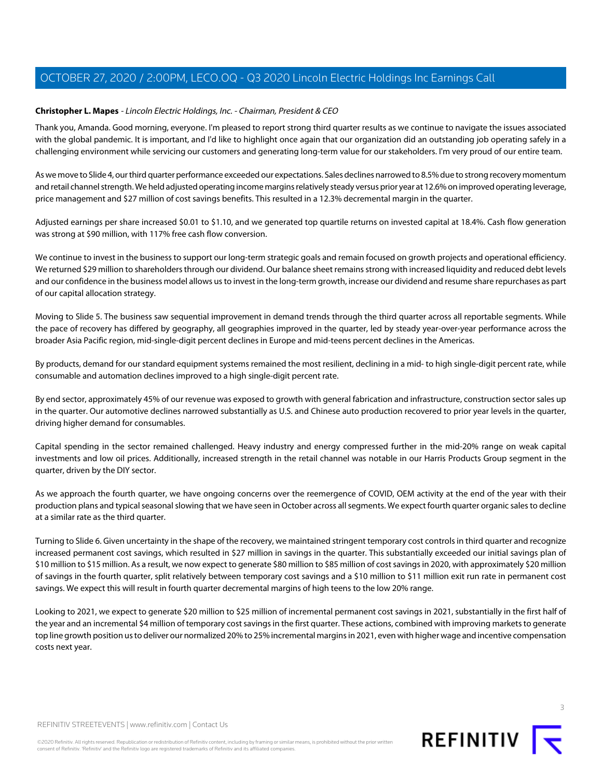# <span id="page-2-0"></span>**Christopher L. Mapes** - Lincoln Electric Holdings, Inc. - Chairman, President & CEO

Thank you, Amanda. Good morning, everyone. I'm pleased to report strong third quarter results as we continue to navigate the issues associated with the global pandemic. It is important, and I'd like to highlight once again that our organization did an outstanding job operating safely in a challenging environment while servicing our customers and generating long-term value for our stakeholders. I'm very proud of our entire team.

As we move to Slide 4, our third quarter performance exceeded our expectations. Sales declines narrowed to 8.5% due to strong recovery momentum and retail channel strength. We held adjusted operating income margins relatively steady versus prior year at 12.6% on improved operating leverage, price management and \$27 million of cost savings benefits. This resulted in a 12.3% decremental margin in the quarter.

Adjusted earnings per share increased \$0.01 to \$1.10, and we generated top quartile returns on invested capital at 18.4%. Cash flow generation was strong at \$90 million, with 117% free cash flow conversion.

We continue to invest in the business to support our long-term strategic goals and remain focused on growth projects and operational efficiency. We returned \$29 million to shareholders through our dividend. Our balance sheet remains strong with increased liquidity and reduced debt levels and our confidence in the business model allows us to invest in the long-term growth, increase our dividend and resume share repurchases as part of our capital allocation strategy.

Moving to Slide 5. The business saw sequential improvement in demand trends through the third quarter across all reportable segments. While the pace of recovery has differed by geography, all geographies improved in the quarter, led by steady year-over-year performance across the broader Asia Pacific region, mid-single-digit percent declines in Europe and mid-teens percent declines in the Americas.

By products, demand for our standard equipment systems remained the most resilient, declining in a mid- to high single-digit percent rate, while consumable and automation declines improved to a high single-digit percent rate.

By end sector, approximately 45% of our revenue was exposed to growth with general fabrication and infrastructure, construction sector sales up in the quarter. Our automotive declines narrowed substantially as U.S. and Chinese auto production recovered to prior year levels in the quarter, driving higher demand for consumables.

Capital spending in the sector remained challenged. Heavy industry and energy compressed further in the mid-20% range on weak capital investments and low oil prices. Additionally, increased strength in the retail channel was notable in our Harris Products Group segment in the quarter, driven by the DIY sector.

As we approach the fourth quarter, we have ongoing concerns over the reemergence of COVID, OEM activity at the end of the year with their production plans and typical seasonal slowing that we have seen in October across all segments. We expect fourth quarter organic sales to decline at a similar rate as the third quarter.

Turning to Slide 6. Given uncertainty in the shape of the recovery, we maintained stringent temporary cost controls in third quarter and recognize increased permanent cost savings, which resulted in \$27 million in savings in the quarter. This substantially exceeded our initial savings plan of \$10 million to \$15 million. As a result, we now expect to generate \$80 million to \$85 million of cost savings in 2020, with approximately \$20 million of savings in the fourth quarter, split relatively between temporary cost savings and a \$10 million to \$11 million exit run rate in permanent cost savings. We expect this will result in fourth quarter decremental margins of high teens to the low 20% range.

Looking to 2021, we expect to generate \$20 million to \$25 million of incremental permanent cost savings in 2021, substantially in the first half of the year and an incremental \$4 million of temporary cost savings in the first quarter. These actions, combined with improving markets to generate top line growth position us to deliver our normalized 20% to 25% incremental margins in 2021, even with higher wage and incentive compensation costs next year.



©2020 Refinitiv. All rights reserved. Republication or redistribution of Refinitiv content, including by framing or similar means, is prohibited without the prior written consent of Refinitiv. 'Refinitiv' and the Refinitiv logo are registered trademarks of Refinitiv and its affiliated companies.

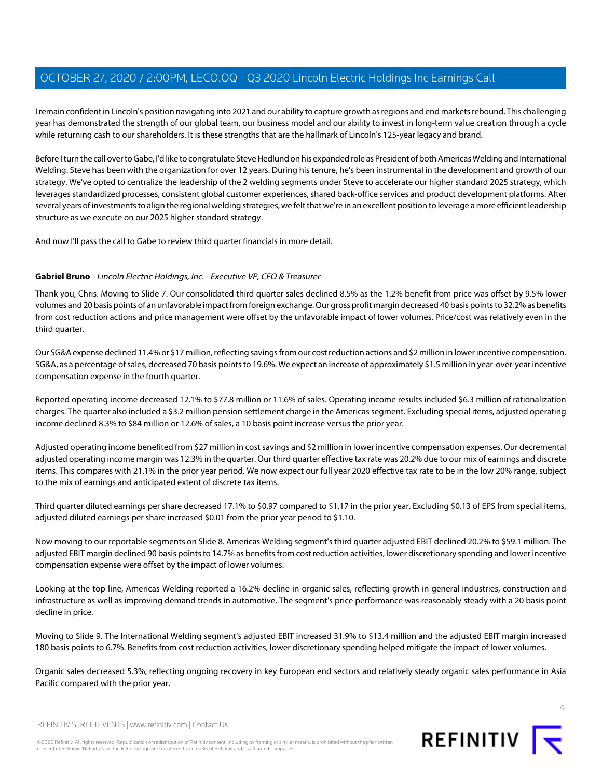I remain confident in Lincoln's position navigating into 2021 and our ability to capture growth as regions and end markets rebound. This challenging year has demonstrated the strength of our global team, our business model and our ability to invest in long-term value creation through a cycle while returning cash to our shareholders. It is these strengths that are the hallmark of Lincoln's 125-year legacy and brand.

Before I turn the call over to Gabe, I'd like to congratulate Steve Hedlund on his expanded role as President of both Americas Welding and International Welding. Steve has been with the organization for over 12 years. During his tenure, he's been instrumental in the development and growth of our strategy. We've opted to centralize the leadership of the 2 welding segments under Steve to accelerate our higher standard 2025 strategy, which leverages standardized processes, consistent global customer experiences, shared back-office services and product development platforms. After several years of investments to align the regional welding strategies, we felt that we're in an excellent position to leverage a more efficient leadership structure as we execute on our 2025 higher standard strategy.

<span id="page-3-0"></span>And now I'll pass the call to Gabe to review third quarter financials in more detail.

## **Gabriel Bruno** - Lincoln Electric Holdings, Inc. - Executive VP, CFO & Treasurer

Thank you, Chris. Moving to Slide 7. Our consolidated third quarter sales declined 8.5% as the 1.2% benefit from price was offset by 9.5% lower volumes and 20 basis points of an unfavorable impact from foreign exchange. Our gross profit margin decreased 40 basis points to 32.2% as benefits from cost reduction actions and price management were offset by the unfavorable impact of lower volumes. Price/cost was relatively even in the third quarter.

Our SG&A expense declined 11.4% or \$17 million, reflecting savings from our cost reduction actions and \$2 million in lower incentive compensation. SG&A, as a percentage of sales, decreased 70 basis points to 19.6%. We expect an increase of approximately \$1.5 million in year-over-year incentive compensation expense in the fourth quarter.

Reported operating income decreased 12.1% to \$77.8 million or 11.6% of sales. Operating income results included \$6.3 million of rationalization charges. The quarter also included a \$3.2 million pension settlement charge in the Americas segment. Excluding special items, adjusted operating income declined 8.3% to \$84 million or 12.6% of sales, a 10 basis point increase versus the prior year.

Adjusted operating income benefited from \$27 million in cost savings and \$2 million in lower incentive compensation expenses. Our decremental adjusted operating income margin was 12.3% in the quarter. Our third quarter effective tax rate was 20.2% due to our mix of earnings and discrete items. This compares with 21.1% in the prior year period. We now expect our full year 2020 effective tax rate to be in the low 20% range, subject to the mix of earnings and anticipated extent of discrete tax items.

Third quarter diluted earnings per share decreased 17.1% to \$0.97 compared to \$1.17 in the prior year. Excluding \$0.13 of EPS from special items, adjusted diluted earnings per share increased \$0.01 from the prior year period to \$1.10.

Now moving to our reportable segments on Slide 8. Americas Welding segment's third quarter adjusted EBIT declined 20.2% to \$59.1 million. The adjusted EBIT margin declined 90 basis points to 14.7% as benefits from cost reduction activities, lower discretionary spending and lower incentive compensation expense were offset by the impact of lower volumes.

Looking at the top line, Americas Welding reported a 16.2% decline in organic sales, reflecting growth in general industries, construction and infrastructure as well as improving demand trends in automotive. The segment's price performance was reasonably steady with a 20 basis point decline in price.

Moving to Slide 9. The International Welding segment's adjusted EBIT increased 31.9% to \$13.4 million and the adjusted EBIT margin increased 180 basis points to 6.7%. Benefits from cost reduction activities, lower discretionary spending helped mitigate the impact of lower volumes.

Organic sales decreased 5.3%, reflecting ongoing recovery in key European end sectors and relatively steady organic sales performance in Asia Pacific compared with the prior year.



REFINITIV STREETEVENTS | [www.refinitiv.com](https://www.refinitiv.com/) | [Contact Us](https://www.refinitiv.com/en/contact-us)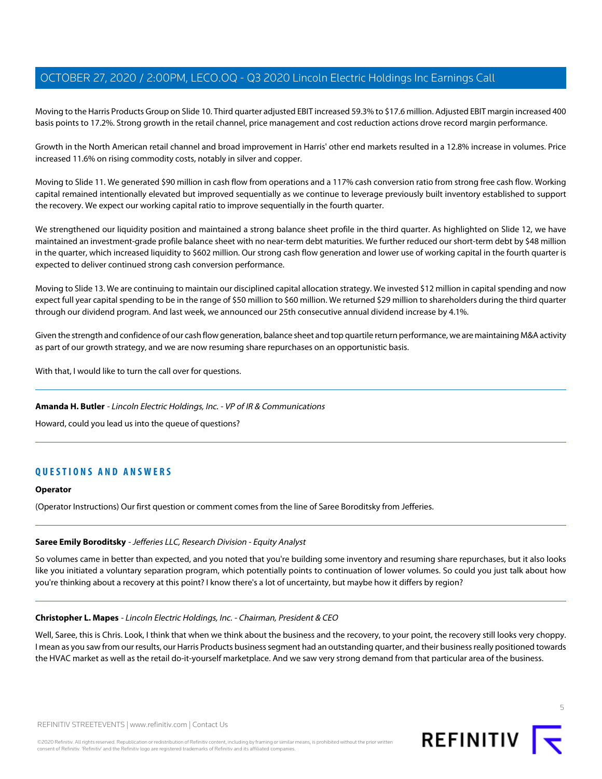Moving to the Harris Products Group on Slide 10. Third quarter adjusted EBIT increased 59.3% to \$17.6 million. Adjusted EBIT margin increased 400 basis points to 17.2%. Strong growth in the retail channel, price management and cost reduction actions drove record margin performance.

Growth in the North American retail channel and broad improvement in Harris' other end markets resulted in a 12.8% increase in volumes. Price increased 11.6% on rising commodity costs, notably in silver and copper.

Moving to Slide 11. We generated \$90 million in cash flow from operations and a 117% cash conversion ratio from strong free cash flow. Working capital remained intentionally elevated but improved sequentially as we continue to leverage previously built inventory established to support the recovery. We expect our working capital ratio to improve sequentially in the fourth quarter.

We strengthened our liquidity position and maintained a strong balance sheet profile in the third quarter. As highlighted on Slide 12, we have maintained an investment-grade profile balance sheet with no near-term debt maturities. We further reduced our short-term debt by \$48 million in the quarter, which increased liquidity to \$602 million. Our strong cash flow generation and lower use of working capital in the fourth quarter is expected to deliver continued strong cash conversion performance.

Moving to Slide 13. We are continuing to maintain our disciplined capital allocation strategy. We invested \$12 million in capital spending and now expect full year capital spending to be in the range of \$50 million to \$60 million. We returned \$29 million to shareholders during the third quarter through our dividend program. And last week, we announced our 25th consecutive annual dividend increase by 4.1%.

Given the strength and confidence of our cash flow generation, balance sheet and top quartile return performance, we are maintaining M&A activity as part of our growth strategy, and we are now resuming share repurchases on an opportunistic basis.

With that, I would like to turn the call over for questions.

## **Amanda H. Butler** - Lincoln Electric Holdings, Inc. - VP of IR & Communications

Howard, could you lead us into the queue of questions?

# **QUESTIONS AND ANSWERS**

#### <span id="page-4-0"></span>**Operator**

(Operator Instructions) Our first question or comment comes from the line of Saree Boroditsky from Jefferies.

## **Saree Emily Boroditsky** - Jefferies LLC, Research Division - Equity Analyst

So volumes came in better than expected, and you noted that you're building some inventory and resuming share repurchases, but it also looks like you initiated a voluntary separation program, which potentially points to continuation of lower volumes. So could you just talk about how you're thinking about a recovery at this point? I know there's a lot of uncertainty, but maybe how it differs by region?

#### **Christopher L. Mapes** - Lincoln Electric Holdings, Inc. - Chairman, President & CEO

Well, Saree, this is Chris. Look, I think that when we think about the business and the recovery, to your point, the recovery still looks very choppy. I mean as you saw from our results, our Harris Products business segment had an outstanding quarter, and their business really positioned towards the HVAC market as well as the retail do-it-yourself marketplace. And we saw very strong demand from that particular area of the business.

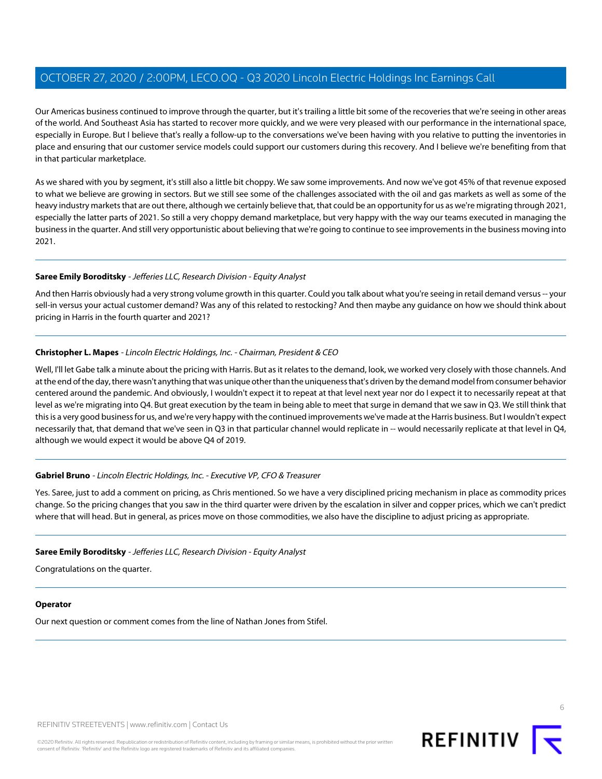Our Americas business continued to improve through the quarter, but it's trailing a little bit some of the recoveries that we're seeing in other areas of the world. And Southeast Asia has started to recover more quickly, and we were very pleased with our performance in the international space, especially in Europe. But I believe that's really a follow-up to the conversations we've been having with you relative to putting the inventories in place and ensuring that our customer service models could support our customers during this recovery. And I believe we're benefiting from that in that particular marketplace.

As we shared with you by segment, it's still also a little bit choppy. We saw some improvements. And now we've got 45% of that revenue exposed to what we believe are growing in sectors. But we still see some of the challenges associated with the oil and gas markets as well as some of the heavy industry markets that are out there, although we certainly believe that, that could be an opportunity for us as we're migrating through 2021, especially the latter parts of 2021. So still a very choppy demand marketplace, but very happy with the way our teams executed in managing the business in the quarter. And still very opportunistic about believing that we're going to continue to see improvements in the business moving into 2021.

#### **Saree Emily Boroditsky** - Jefferies LLC, Research Division - Equity Analyst

And then Harris obviously had a very strong volume growth in this quarter. Could you talk about what you're seeing in retail demand versus -- your sell-in versus your actual customer demand? Was any of this related to restocking? And then maybe any guidance on how we should think about pricing in Harris in the fourth quarter and 2021?

## **Christopher L. Mapes** - Lincoln Electric Holdings, Inc. - Chairman, President & CEO

Well, I'll let Gabe talk a minute about the pricing with Harris. But as it relates to the demand, look, we worked very closely with those channels. And at the end of the day, there wasn't anything that was unique other than the uniqueness that's driven by the demand model from consumer behavior centered around the pandemic. And obviously, I wouldn't expect it to repeat at that level next year nor do I expect it to necessarily repeat at that level as we're migrating into Q4. But great execution by the team in being able to meet that surge in demand that we saw in Q3. We still think that this is a very good business for us, and we're very happy with the continued improvements we've made at the Harris business. But I wouldn't expect necessarily that, that demand that we've seen in Q3 in that particular channel would replicate in -- would necessarily replicate at that level in Q4, although we would expect it would be above Q4 of 2019.

## **Gabriel Bruno** - Lincoln Electric Holdings, Inc. - Executive VP, CFO & Treasurer

Yes. Saree, just to add a comment on pricing, as Chris mentioned. So we have a very disciplined pricing mechanism in place as commodity prices change. So the pricing changes that you saw in the third quarter were driven by the escalation in silver and copper prices, which we can't predict where that will head. But in general, as prices move on those commodities, we also have the discipline to adjust pricing as appropriate.

## **Saree Emily Boroditsky** - Jefferies LLC, Research Division - Equity Analyst

Congratulations on the quarter.

## **Operator**

Our next question or comment comes from the line of Nathan Jones from Stifel.

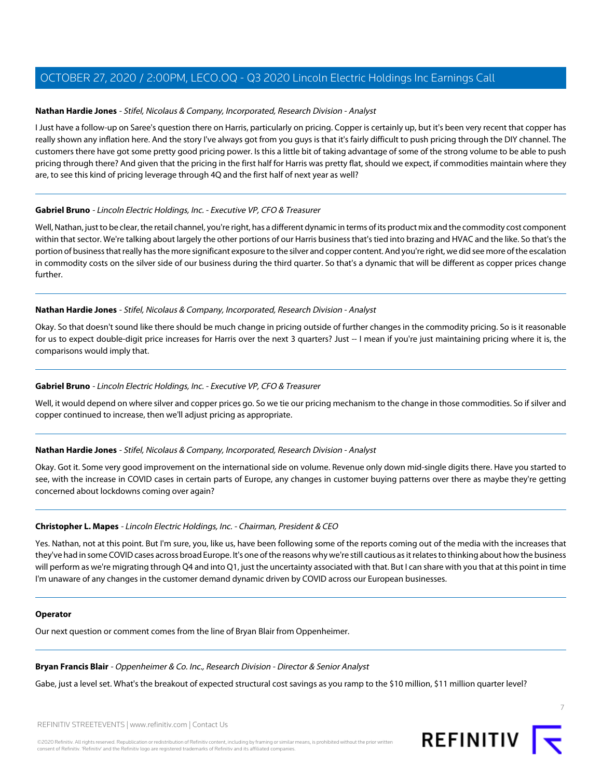#### <span id="page-6-1"></span>**Nathan Hardie Jones** - Stifel, Nicolaus & Company, Incorporated, Research Division - Analyst

I Just have a follow-up on Saree's question there on Harris, particularly on pricing. Copper is certainly up, but it's been very recent that copper has really shown any inflation here. And the story I've always got from you guys is that it's fairly difficult to push pricing through the DIY channel. The customers there have got some pretty good pricing power. Is this a little bit of taking advantage of some of the strong volume to be able to push pricing through there? And given that the pricing in the first half for Harris was pretty flat, should we expect, if commodities maintain where they are, to see this kind of pricing leverage through 4Q and the first half of next year as well?

#### **Gabriel Bruno** - Lincoln Electric Holdings, Inc. - Executive VP, CFO & Treasurer

Well, Nathan, just to be clear, the retail channel, you're right, has a different dynamic in terms of its product mix and the commodity cost component within that sector. We're talking about largely the other portions of our Harris business that's tied into brazing and HVAC and the like. So that's the portion of business that really has the more significant exposure to the silver and copper content. And you're right, we did see more of the escalation in commodity costs on the silver side of our business during the third quarter. So that's a dynamic that will be different as copper prices change further.

#### **Nathan Hardie Jones** - Stifel, Nicolaus & Company, Incorporated, Research Division - Analyst

Okay. So that doesn't sound like there should be much change in pricing outside of further changes in the commodity pricing. So is it reasonable for us to expect double-digit price increases for Harris over the next 3 quarters? Just -- I mean if you're just maintaining pricing where it is, the comparisons would imply that.

#### **Gabriel Bruno** - Lincoln Electric Holdings, Inc. - Executive VP, CFO & Treasurer

Well, it would depend on where silver and copper prices go. So we tie our pricing mechanism to the change in those commodities. So if silver and copper continued to increase, then we'll adjust pricing as appropriate.

## **Nathan Hardie Jones** - Stifel, Nicolaus & Company, Incorporated, Research Division - Analyst

Okay. Got it. Some very good improvement on the international side on volume. Revenue only down mid-single digits there. Have you started to see, with the increase in COVID cases in certain parts of Europe, any changes in customer buying patterns over there as maybe they're getting concerned about lockdowns coming over again?

#### **Christopher L. Mapes** - Lincoln Electric Holdings, Inc. - Chairman, President & CEO

Yes. Nathan, not at this point. But I'm sure, you, like us, have been following some of the reports coming out of the media with the increases that they've had in some COVID cases across broad Europe. It's one of the reasons why we're still cautious as it relates to thinking about how the business will perform as we're migrating through Q4 and into Q1, just the uncertainty associated with that. But I can share with you that at this point in time I'm unaware of any changes in the customer demand dynamic driven by COVID across our European businesses.

#### <span id="page-6-0"></span>**Operator**

Our next question or comment comes from the line of Bryan Blair from Oppenheimer.

#### **Bryan Francis Blair** - Oppenheimer & Co. Inc., Research Division - Director & Senior Analyst

Gabe, just a level set. What's the breakout of expected structural cost savings as you ramp to the \$10 million, \$11 million quarter level?

REFINITIV STREETEVENTS | [www.refinitiv.com](https://www.refinitiv.com/) | [Contact Us](https://www.refinitiv.com/en/contact-us)



7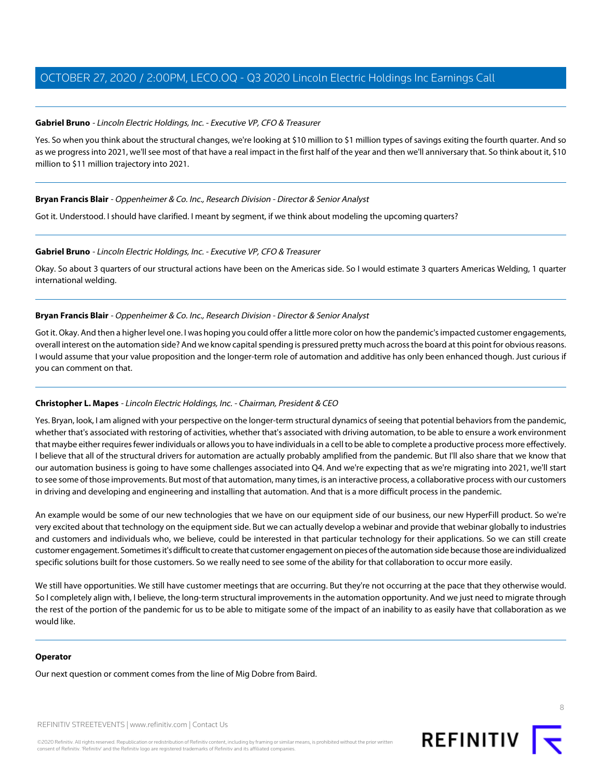## **Gabriel Bruno** - Lincoln Electric Holdings, Inc. - Executive VP, CFO & Treasurer

Yes. So when you think about the structural changes, we're looking at \$10 million to \$1 million types of savings exiting the fourth quarter. And so as we progress into 2021, we'll see most of that have a real impact in the first half of the year and then we'll anniversary that. So think about it, \$10 million to \$11 million trajectory into 2021.

#### **Bryan Francis Blair** - Oppenheimer & Co. Inc., Research Division - Director & Senior Analyst

Got it. Understood. I should have clarified. I meant by segment, if we think about modeling the upcoming quarters?

#### **Gabriel Bruno** - Lincoln Electric Holdings, Inc. - Executive VP, CFO & Treasurer

Okay. So about 3 quarters of our structural actions have been on the Americas side. So I would estimate 3 quarters Americas Welding, 1 quarter international welding.

#### **Bryan Francis Blair** - Oppenheimer & Co. Inc., Research Division - Director & Senior Analyst

Got it. Okay. And then a higher level one. I was hoping you could offer a little more color on how the pandemic's impacted customer engagements, overall interest on the automation side? And we know capital spending is pressured pretty much across the board at this point for obvious reasons. I would assume that your value proposition and the longer-term role of automation and additive has only been enhanced though. Just curious if you can comment on that.

## **Christopher L. Mapes** - Lincoln Electric Holdings, Inc. - Chairman, President & CEO

Yes. Bryan, look, I am aligned with your perspective on the longer-term structural dynamics of seeing that potential behaviors from the pandemic, whether that's associated with restoring of activities, whether that's associated with driving automation, to be able to ensure a work environment that maybe either requires fewer individuals or allows you to have individuals in a cell to be able to complete a productive process more effectively. I believe that all of the structural drivers for automation are actually probably amplified from the pandemic. But I'll also share that we know that our automation business is going to have some challenges associated into Q4. And we're expecting that as we're migrating into 2021, we'll start to see some of those improvements. But most of that automation, many times, is an interactive process, a collaborative process with our customers in driving and developing and engineering and installing that automation. And that is a more difficult process in the pandemic.

An example would be some of our new technologies that we have on our equipment side of our business, our new HyperFill product. So we're very excited about that technology on the equipment side. But we can actually develop a webinar and provide that webinar globally to industries and customers and individuals who, we believe, could be interested in that particular technology for their applications. So we can still create customer engagement. Sometimes it's difficult to create that customer engagement on pieces of the automation side because those are individualized specific solutions built for those customers. So we really need to see some of the ability for that collaboration to occur more easily.

We still have opportunities. We still have customer meetings that are occurring. But they're not occurring at the pace that they otherwise would. So I completely align with, I believe, the long-term structural improvements in the automation opportunity. And we just need to migrate through the rest of the portion of the pandemic for us to be able to mitigate some of the impact of an inability to as easily have that collaboration as we would like.

## **Operator**

Our next question or comment comes from the line of Mig Dobre from Baird.

REFINITIV STREETEVENTS | [www.refinitiv.com](https://www.refinitiv.com/) | [Contact Us](https://www.refinitiv.com/en/contact-us)

©2020 Refinitiv. All rights reserved. Republication or redistribution of Refinitiv content, including by framing or similar means, is prohibited without the prior written consent of Refinitiv. 'Refinitiv' and the Refinitiv logo are registered trademarks of Refinitiv and its affiliated companies.



8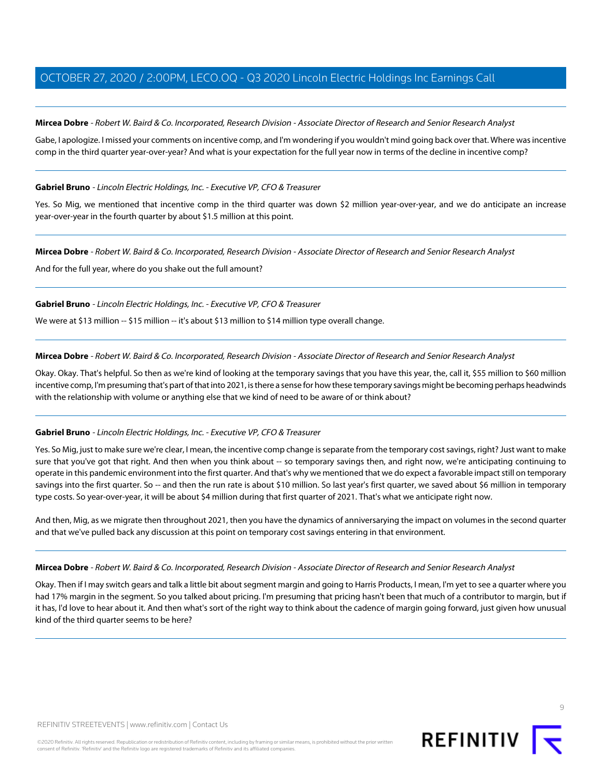<span id="page-8-0"></span>**Mircea Dobre** - Robert W. Baird & Co. Incorporated, Research Division - Associate Director of Research and Senior Research Analyst

Gabe, I apologize. I missed your comments on incentive comp, and I'm wondering if you wouldn't mind going back over that. Where was incentive comp in the third quarter year-over-year? And what is your expectation for the full year now in terms of the decline in incentive comp?

#### **Gabriel Bruno** - Lincoln Electric Holdings, Inc. - Executive VP, CFO & Treasurer

Yes. So Mig, we mentioned that incentive comp in the third quarter was down \$2 million year-over-year, and we do anticipate an increase year-over-year in the fourth quarter by about \$1.5 million at this point.

#### **Mircea Dobre** - Robert W. Baird & Co. Incorporated, Research Division - Associate Director of Research and Senior Research Analyst

And for the full year, where do you shake out the full amount?

## **Gabriel Bruno** - Lincoln Electric Holdings, Inc. - Executive VP, CFO & Treasurer

We were at \$13 million -- \$15 million -- it's about \$13 million to \$14 million type overall change.

#### **Mircea Dobre** - Robert W. Baird & Co. Incorporated, Research Division - Associate Director of Research and Senior Research Analyst

Okay. Okay. That's helpful. So then as we're kind of looking at the temporary savings that you have this year, the, call it, \$55 million to \$60 million incentive comp, I'm presuming that's part of that into 2021, is there a sense for how these temporary savings might be becoming perhaps headwinds with the relationship with volume or anything else that we kind of need to be aware of or think about?

## **Gabriel Bruno** - Lincoln Electric Holdings, Inc. - Executive VP, CFO & Treasurer

Yes. So Mig, just to make sure we're clear, I mean, the incentive comp change is separate from the temporary cost savings, right? Just want to make sure that you've got that right. And then when you think about -- so temporary savings then, and right now, we're anticipating continuing to operate in this pandemic environment into the first quarter. And that's why we mentioned that we do expect a favorable impact still on temporary savings into the first quarter. So -- and then the run rate is about \$10 million. So last year's first quarter, we saved about \$6 million in temporary type costs. So year-over-year, it will be about \$4 million during that first quarter of 2021. That's what we anticipate right now.

And then, Mig, as we migrate then throughout 2021, then you have the dynamics of anniversarying the impact on volumes in the second quarter and that we've pulled back any discussion at this point on temporary cost savings entering in that environment.

#### **Mircea Dobre** - Robert W. Baird & Co. Incorporated, Research Division - Associate Director of Research and Senior Research Analyst

Okay. Then if I may switch gears and talk a little bit about segment margin and going to Harris Products, I mean, I'm yet to see a quarter where you had 17% margin in the segment. So you talked about pricing. I'm presuming that pricing hasn't been that much of a contributor to margin, but if it has, I'd love to hear about it. And then what's sort of the right way to think about the cadence of margin going forward, just given how unusual kind of the third quarter seems to be here?



 $\circ$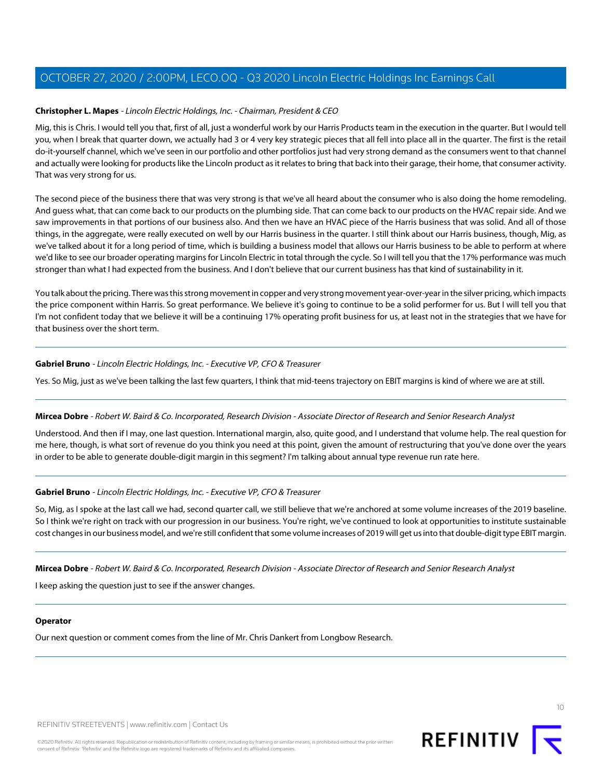# **Christopher L. Mapes** - Lincoln Electric Holdings, Inc. - Chairman, President & CEO

Mig, this is Chris. I would tell you that, first of all, just a wonderful work by our Harris Products team in the execution in the quarter. But I would tell you, when I break that quarter down, we actually had 3 or 4 very key strategic pieces that all fell into place all in the quarter. The first is the retail do-it-yourself channel, which we've seen in our portfolio and other portfolios just had very strong demand as the consumers went to that channel and actually were looking for products like the Lincoln product as it relates to bring that back into their garage, their home, that consumer activity. That was very strong for us.

The second piece of the business there that was very strong is that we've all heard about the consumer who is also doing the home remodeling. And guess what, that can come back to our products on the plumbing side. That can come back to our products on the HVAC repair side. And we saw improvements in that portions of our business also. And then we have an HVAC piece of the Harris business that was solid. And all of those things, in the aggregate, were really executed on well by our Harris business in the quarter. I still think about our Harris business, though, Mig, as we've talked about it for a long period of time, which is building a business model that allows our Harris business to be able to perform at where we'd like to see our broader operating margins for Lincoln Electric in total through the cycle. So I will tell you that the 17% performance was much stronger than what I had expected from the business. And I don't believe that our current business has that kind of sustainability in it.

You talk about the pricing. There was this strong movement in copper and very strong movement year-over-year in the silver pricing, which impacts the price component within Harris. So great performance. We believe it's going to continue to be a solid performer for us. But I will tell you that I'm not confident today that we believe it will be a continuing 17% operating profit business for us, at least not in the strategies that we have for that business over the short term.

## **Gabriel Bruno** - Lincoln Electric Holdings, Inc. - Executive VP, CFO & Treasurer

Yes. So Mig, just as we've been talking the last few quarters, I think that mid-teens trajectory on EBIT margins is kind of where we are at still.

## **Mircea Dobre** - Robert W. Baird & Co. Incorporated, Research Division - Associate Director of Research and Senior Research Analyst

Understood. And then if I may, one last question. International margin, also, quite good, and I understand that volume help. The real question for me here, though, is what sort of revenue do you think you need at this point, given the amount of restructuring that you've done over the years in order to be able to generate double-digit margin in this segment? I'm talking about annual type revenue run rate here.

## **Gabriel Bruno** - Lincoln Electric Holdings, Inc. - Executive VP, CFO & Treasurer

So, Mig, as I spoke at the last call we had, second quarter call, we still believe that we're anchored at some volume increases of the 2019 baseline. So I think we're right on track with our progression in our business. You're right, we've continued to look at opportunities to institute sustainable cost changes in our business model, and we're still confident that some volume increases of 2019 will get us into that double-digit type EBIT margin.

**Mircea Dobre** - Robert W. Baird & Co. Incorporated, Research Division - Associate Director of Research and Senior Research Analyst

I keep asking the question just to see if the answer changes.

#### **Operator**

Our next question or comment comes from the line of Mr. Chris Dankert from Longbow Research.

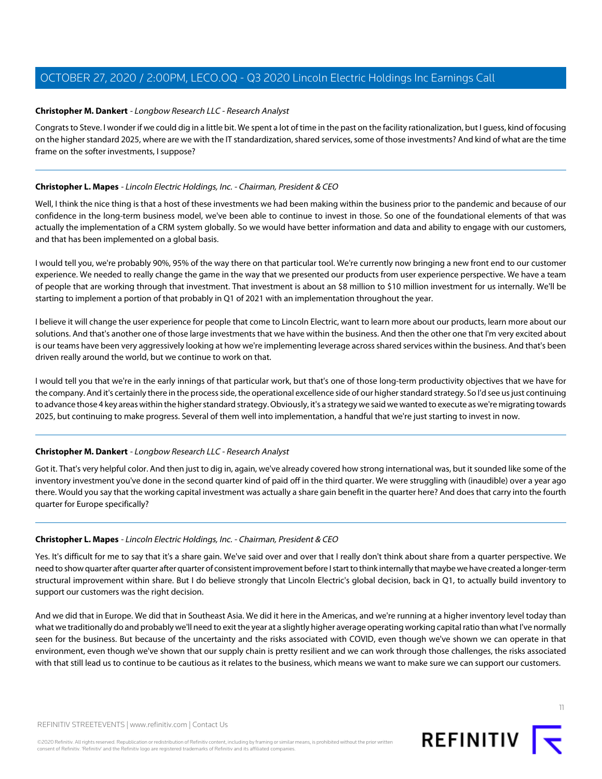## <span id="page-10-0"></span>**Christopher M. Dankert** - Longbow Research LLC - Research Analyst

Congrats to Steve. I wonder if we could dig in a little bit. We spent a lot of time in the past on the facility rationalization, but I guess, kind of focusing on the higher standard 2025, where are we with the IT standardization, shared services, some of those investments? And kind of what are the time frame on the softer investments, I suppose?

#### **Christopher L. Mapes** - Lincoln Electric Holdings, Inc. - Chairman, President & CEO

Well, I think the nice thing is that a host of these investments we had been making within the business prior to the pandemic and because of our confidence in the long-term business model, we've been able to continue to invest in those. So one of the foundational elements of that was actually the implementation of a CRM system globally. So we would have better information and data and ability to engage with our customers, and that has been implemented on a global basis.

I would tell you, we're probably 90%, 95% of the way there on that particular tool. We're currently now bringing a new front end to our customer experience. We needed to really change the game in the way that we presented our products from user experience perspective. We have a team of people that are working through that investment. That investment is about an \$8 million to \$10 million investment for us internally. We'll be starting to implement a portion of that probably in Q1 of 2021 with an implementation throughout the year.

I believe it will change the user experience for people that come to Lincoln Electric, want to learn more about our products, learn more about our solutions. And that's another one of those large investments that we have within the business. And then the other one that I'm very excited about is our teams have been very aggressively looking at how we're implementing leverage across shared services within the business. And that's been driven really around the world, but we continue to work on that.

I would tell you that we're in the early innings of that particular work, but that's one of those long-term productivity objectives that we have for the company. And it's certainly there in the process side, the operational excellence side of our higher standard strategy. So I'd see us just continuing to advance those 4 key areas within the higher standard strategy. Obviously, it's a strategy we said we wanted to execute as we're migrating towards 2025, but continuing to make progress. Several of them well into implementation, a handful that we're just starting to invest in now.

## **Christopher M. Dankert** - Longbow Research LLC - Research Analyst

Got it. That's very helpful color. And then just to dig in, again, we've already covered how strong international was, but it sounded like some of the inventory investment you've done in the second quarter kind of paid off in the third quarter. We were struggling with (inaudible) over a year ago there. Would you say that the working capital investment was actually a share gain benefit in the quarter here? And does that carry into the fourth quarter for Europe specifically?

#### **Christopher L. Mapes** - Lincoln Electric Holdings, Inc. - Chairman, President & CEO

Yes. It's difficult for me to say that it's a share gain. We've said over and over that I really don't think about share from a quarter perspective. We need to show quarter after quarter after quarter of consistent improvement before I start to think internally that maybe we have created a longer-term structural improvement within share. But I do believe strongly that Lincoln Electric's global decision, back in Q1, to actually build inventory to support our customers was the right decision.

And we did that in Europe. We did that in Southeast Asia. We did it here in the Americas, and we're running at a higher inventory level today than what we traditionally do and probably we'll need to exit the year at a slightly higher average operating working capital ratio than what I've normally seen for the business. But because of the uncertainty and the risks associated with COVID, even though we've shown we can operate in that environment, even though we've shown that our supply chain is pretty resilient and we can work through those challenges, the risks associated with that still lead us to continue to be cautious as it relates to the business, which means we want to make sure we can support our customers.

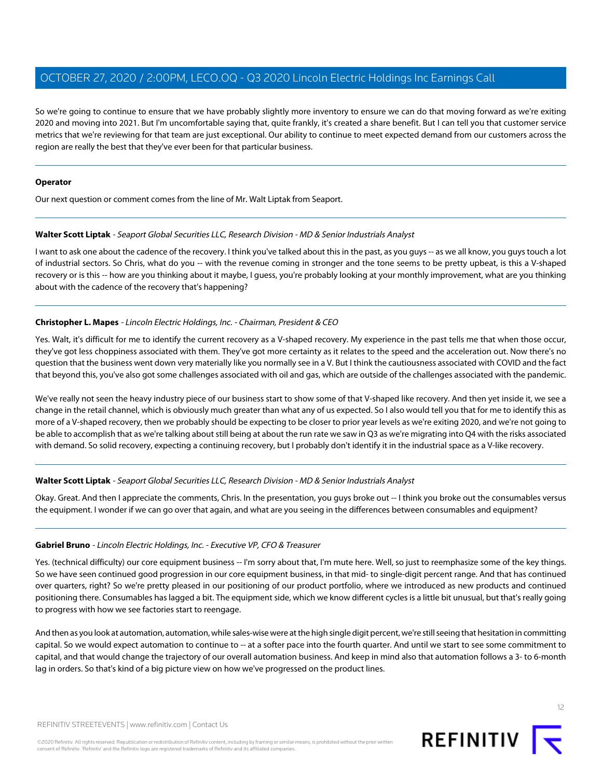So we're going to continue to ensure that we have probably slightly more inventory to ensure we can do that moving forward as we're exiting 2020 and moving into 2021. But I'm uncomfortable saying that, quite frankly, it's created a share benefit. But I can tell you that customer service metrics that we're reviewing for that team are just exceptional. Our ability to continue to meet expected demand from our customers across the region are really the best that they've ever been for that particular business.

#### **Operator**

<span id="page-11-0"></span>Our next question or comment comes from the line of Mr. Walt Liptak from Seaport.

#### **Walter Scott Liptak** - Seaport Global Securities LLC, Research Division - MD & Senior Industrials Analyst

I want to ask one about the cadence of the recovery. I think you've talked about this in the past, as you guys -- as we all know, you guys touch a lot of industrial sectors. So Chris, what do you -- with the revenue coming in stronger and the tone seems to be pretty upbeat, is this a V-shaped recovery or is this -- how are you thinking about it maybe, I guess, you're probably looking at your monthly improvement, what are you thinking about with the cadence of the recovery that's happening?

# **Christopher L. Mapes** - Lincoln Electric Holdings, Inc. - Chairman, President & CEO

Yes. Walt, it's difficult for me to identify the current recovery as a V-shaped recovery. My experience in the past tells me that when those occur, they've got less choppiness associated with them. They've got more certainty as it relates to the speed and the acceleration out. Now there's no question that the business went down very materially like you normally see in a V. But I think the cautiousness associated with COVID and the fact that beyond this, you've also got some challenges associated with oil and gas, which are outside of the challenges associated with the pandemic.

We've really not seen the heavy industry piece of our business start to show some of that V-shaped like recovery. And then yet inside it, we see a change in the retail channel, which is obviously much greater than what any of us expected. So I also would tell you that for me to identify this as more of a V-shaped recovery, then we probably should be expecting to be closer to prior year levels as we're exiting 2020, and we're not going to be able to accomplish that as we're talking about still being at about the run rate we saw in Q3 as we're migrating into Q4 with the risks associated with demand. So solid recovery, expecting a continuing recovery, but I probably don't identify it in the industrial space as a V-like recovery.

## **Walter Scott Liptak** - Seaport Global Securities LLC, Research Division - MD & Senior Industrials Analyst

Okay. Great. And then I appreciate the comments, Chris. In the presentation, you guys broke out -- I think you broke out the consumables versus the equipment. I wonder if we can go over that again, and what are you seeing in the differences between consumables and equipment?

## **Gabriel Bruno** - Lincoln Electric Holdings, Inc. - Executive VP, CFO & Treasurer

Yes. (technical difficulty) our core equipment business -- I'm sorry about that, I'm mute here. Well, so just to reemphasize some of the key things. So we have seen continued good progression in our core equipment business, in that mid- to single-digit percent range. And that has continued over quarters, right? So we're pretty pleased in our positioning of our product portfolio, where we introduced as new products and continued positioning there. Consumables has lagged a bit. The equipment side, which we know different cycles is a little bit unusual, but that's really going to progress with how we see factories start to reengage.

And then as you look at automation, automation, while sales-wise were at the high single digit percent, we're still seeing that hesitation in committing capital. So we would expect automation to continue to -- at a softer pace into the fourth quarter. And until we start to see some commitment to capital, and that would change the trajectory of our overall automation business. And keep in mind also that automation follows a 3- to 6-month lag in orders. So that's kind of a big picture view on how we've progressed on the product lines.

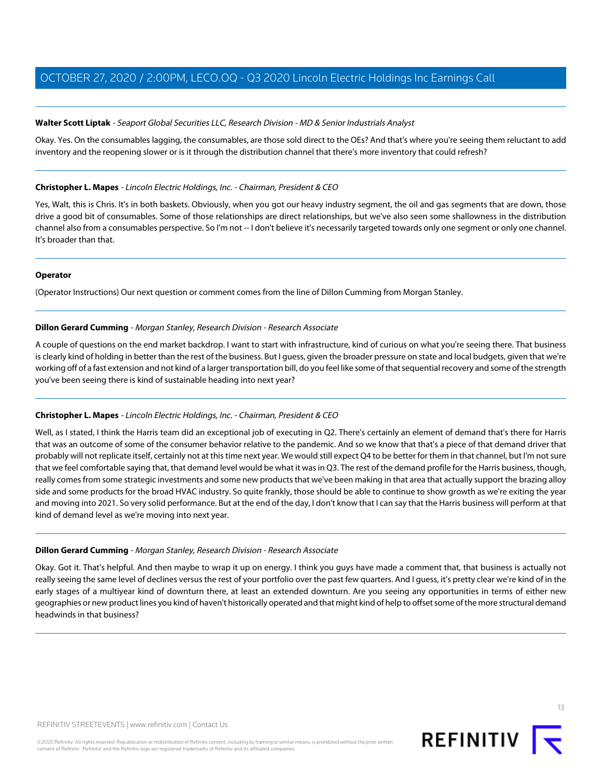#### **Walter Scott Liptak** - Seaport Global Securities LLC, Research Division - MD & Senior Industrials Analyst

Okay. Yes. On the consumables lagging, the consumables, are those sold direct to the OEs? And that's where you're seeing them reluctant to add inventory and the reopening slower or is it through the distribution channel that there's more inventory that could refresh?

#### **Christopher L. Mapes** - Lincoln Electric Holdings, Inc. - Chairman, President & CEO

Yes, Walt, this is Chris. It's in both baskets. Obviously, when you got our heavy industry segment, the oil and gas segments that are down, those drive a good bit of consumables. Some of those relationships are direct relationships, but we've also seen some shallowness in the distribution channel also from a consumables perspective. So I'm not -- I don't believe it's necessarily targeted towards only one segment or only one channel. It's broader than that.

#### **Operator**

<span id="page-12-0"></span>(Operator Instructions) Our next question or comment comes from the line of Dillon Cumming from Morgan Stanley.

#### **Dillon Gerard Cumming** - Morgan Stanley, Research Division - Research Associate

A couple of questions on the end market backdrop. I want to start with infrastructure, kind of curious on what you're seeing there. That business is clearly kind of holding in better than the rest of the business. But I guess, given the broader pressure on state and local budgets, given that we're working off of a fast extension and not kind of a larger transportation bill, do you feel like some of that sequential recovery and some of the strength you've been seeing there is kind of sustainable heading into next year?

## **Christopher L. Mapes** - Lincoln Electric Holdings, Inc. - Chairman, President & CEO

Well, as I stated, I think the Harris team did an exceptional job of executing in Q2. There's certainly an element of demand that's there for Harris that was an outcome of some of the consumer behavior relative to the pandemic. And so we know that that's a piece of that demand driver that probably will not replicate itself, certainly not at this time next year. We would still expect Q4 to be better for them in that channel, but I'm not sure that we feel comfortable saying that, that demand level would be what it was in Q3. The rest of the demand profile for the Harris business, though, really comes from some strategic investments and some new products that we've been making in that area that actually support the brazing alloy side and some products for the broad HVAC industry. So quite frankly, those should be able to continue to show growth as we're exiting the year and moving into 2021. So very solid performance. But at the end of the day, I don't know that I can say that the Harris business will perform at that kind of demand level as we're moving into next year.

#### **Dillon Gerard Cumming** - Morgan Stanley, Research Division - Research Associate

Okay. Got it. That's helpful. And then maybe to wrap it up on energy. I think you guys have made a comment that, that business is actually not really seeing the same level of declines versus the rest of your portfolio over the past few quarters. And I guess, it's pretty clear we're kind of in the early stages of a multiyear kind of downturn there, at least an extended downturn. Are you seeing any opportunities in terms of either new geographies or new product lines you kind of haven't historically operated and that might kind of help to offset some of the more structural demand headwinds in that business?

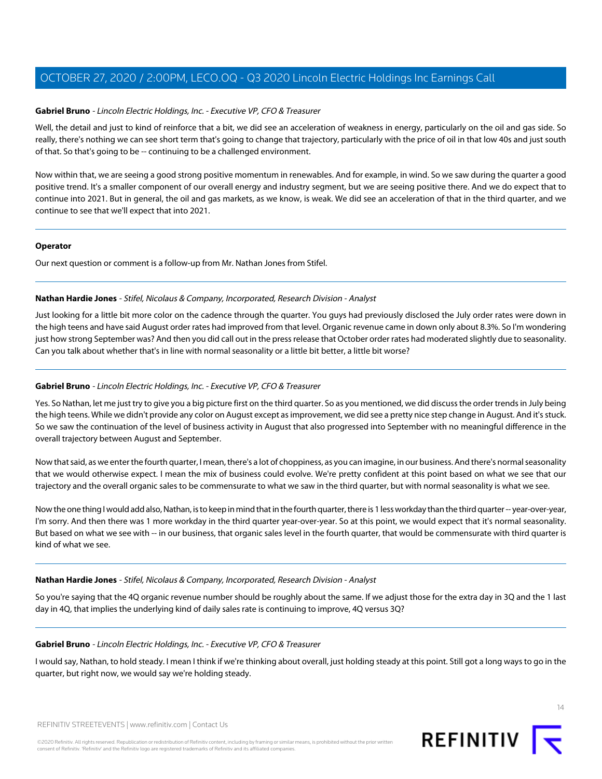#### **Gabriel Bruno** - Lincoln Electric Holdings, Inc. - Executive VP, CFO & Treasurer

Well, the detail and just to kind of reinforce that a bit, we did see an acceleration of weakness in energy, particularly on the oil and gas side. So really, there's nothing we can see short term that's going to change that trajectory, particularly with the price of oil in that low 40s and just south of that. So that's going to be -- continuing to be a challenged environment.

Now within that, we are seeing a good strong positive momentum in renewables. And for example, in wind. So we saw during the quarter a good positive trend. It's a smaller component of our overall energy and industry segment, but we are seeing positive there. And we do expect that to continue into 2021. But in general, the oil and gas markets, as we know, is weak. We did see an acceleration of that in the third quarter, and we continue to see that we'll expect that into 2021.

#### **Operator**

Our next question or comment is a follow-up from Mr. Nathan Jones from Stifel.

## **Nathan Hardie Jones** - Stifel, Nicolaus & Company, Incorporated, Research Division - Analyst

Just looking for a little bit more color on the cadence through the quarter. You guys had previously disclosed the July order rates were down in the high teens and have said August order rates had improved from that level. Organic revenue came in down only about 8.3%. So I'm wondering just how strong September was? And then you did call out in the press release that October order rates had moderated slightly due to seasonality. Can you talk about whether that's in line with normal seasonality or a little bit better, a little bit worse?

## **Gabriel Bruno** - Lincoln Electric Holdings, Inc. - Executive VP, CFO & Treasurer

Yes. So Nathan, let me just try to give you a big picture first on the third quarter. So as you mentioned, we did discuss the order trends in July being the high teens. While we didn't provide any color on August except as improvement, we did see a pretty nice step change in August. And it's stuck. So we saw the continuation of the level of business activity in August that also progressed into September with no meaningful difference in the overall trajectory between August and September.

Now that said, as we enter the fourth quarter, I mean, there's a lot of choppiness, as you can imagine, in our business. And there's normal seasonality that we would otherwise expect. I mean the mix of business could evolve. We're pretty confident at this point based on what we see that our trajectory and the overall organic sales to be commensurate to what we saw in the third quarter, but with normal seasonality is what we see.

Now the one thing I would add also, Nathan, is to keep in mind that in the fourth quarter, there is 1 less workday than the third quarter -- year-over-year, I'm sorry. And then there was 1 more workday in the third quarter year-over-year. So at this point, we would expect that it's normal seasonality. But based on what we see with -- in our business, that organic sales level in the fourth quarter, that would be commensurate with third quarter is kind of what we see.

#### **Nathan Hardie Jones** - Stifel, Nicolaus & Company, Incorporated, Research Division - Analyst

So you're saying that the 4Q organic revenue number should be roughly about the same. If we adjust those for the extra day in 3Q and the 1 last day in 4Q, that implies the underlying kind of daily sales rate is continuing to improve, 4Q versus 3Q?

#### **Gabriel Bruno** - Lincoln Electric Holdings, Inc. - Executive VP, CFO & Treasurer

I would say, Nathan, to hold steady. I mean I think if we're thinking about overall, just holding steady at this point. Still got a long ways to go in the quarter, but right now, we would say we're holding steady.



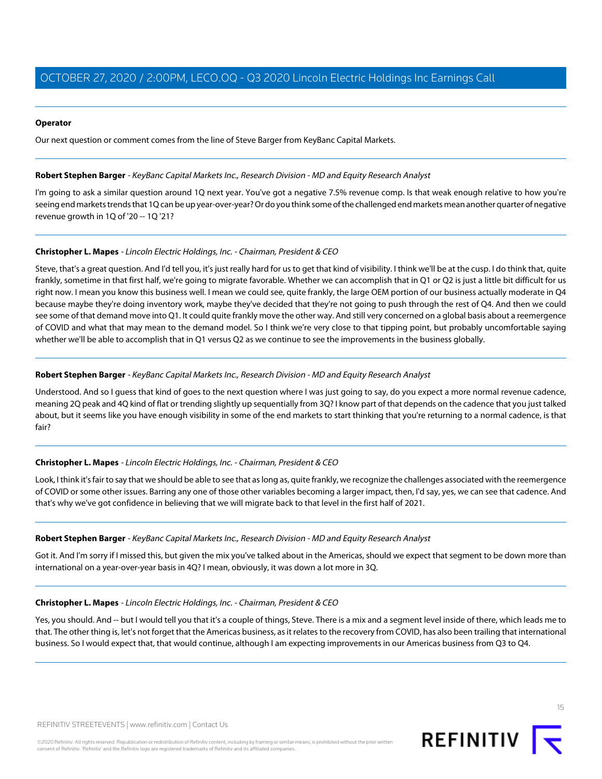#### **Operator**

Our next question or comment comes from the line of Steve Barger from KeyBanc Capital Markets.

#### <span id="page-14-0"></span>**Robert Stephen Barger** - KeyBanc Capital Markets Inc., Research Division - MD and Equity Research Analyst

I'm going to ask a similar question around 1Q next year. You've got a negative 7.5% revenue comp. Is that weak enough relative to how you're seeing end markets trends that 1Q can be up year-over-year? Or do you think some of the challenged end markets mean another quarter of negative revenue growth in 1Q of '20 -- 1Q '21?

#### **Christopher L. Mapes** - Lincoln Electric Holdings, Inc. - Chairman, President & CEO

Steve, that's a great question. And I'd tell you, it's just really hard for us to get that kind of visibility. I think we'll be at the cusp. I do think that, quite frankly, sometime in that first half, we're going to migrate favorable. Whether we can accomplish that in Q1 or Q2 is just a little bit difficult for us right now. I mean you know this business well. I mean we could see, quite frankly, the large OEM portion of our business actually moderate in Q4 because maybe they're doing inventory work, maybe they've decided that they're not going to push through the rest of Q4. And then we could see some of that demand move into Q1. It could quite frankly move the other way. And still very concerned on a global basis about a reemergence of COVID and what that may mean to the demand model. So I think we're very close to that tipping point, but probably uncomfortable saying whether we'll be able to accomplish that in Q1 versus Q2 as we continue to see the improvements in the business globally.

#### **Robert Stephen Barger** - KeyBanc Capital Markets Inc., Research Division - MD and Equity Research Analyst

Understood. And so I guess that kind of goes to the next question where I was just going to say, do you expect a more normal revenue cadence, meaning 2Q peak and 4Q kind of flat or trending slightly up sequentially from 3Q? I know part of that depends on the cadence that you just talked about, but it seems like you have enough visibility in some of the end markets to start thinking that you're returning to a normal cadence, is that fair?

## **Christopher L. Mapes** - Lincoln Electric Holdings, Inc. - Chairman, President & CEO

Look, I think it's fair to say that we should be able to see that as long as, quite frankly, we recognize the challenges associated with the reemergence of COVID or some other issues. Barring any one of those other variables becoming a larger impact, then, I'd say, yes, we can see that cadence. And that's why we've got confidence in believing that we will migrate back to that level in the first half of 2021.

#### **Robert Stephen Barger** - KeyBanc Capital Markets Inc., Research Division - MD and Equity Research Analyst

Got it. And I'm sorry if I missed this, but given the mix you've talked about in the Americas, should we expect that segment to be down more than international on a year-over-year basis in 4Q? I mean, obviously, it was down a lot more in 3Q.

#### **Christopher L. Mapes** - Lincoln Electric Holdings, Inc. - Chairman, President & CEO

Yes, you should. And -- but I would tell you that it's a couple of things, Steve. There is a mix and a segment level inside of there, which leads me to that. The other thing is, let's not forget that the Americas business, as it relates to the recovery from COVID, has also been trailing that international business. So I would expect that, that would continue, although I am expecting improvements in our Americas business from Q3 to Q4.

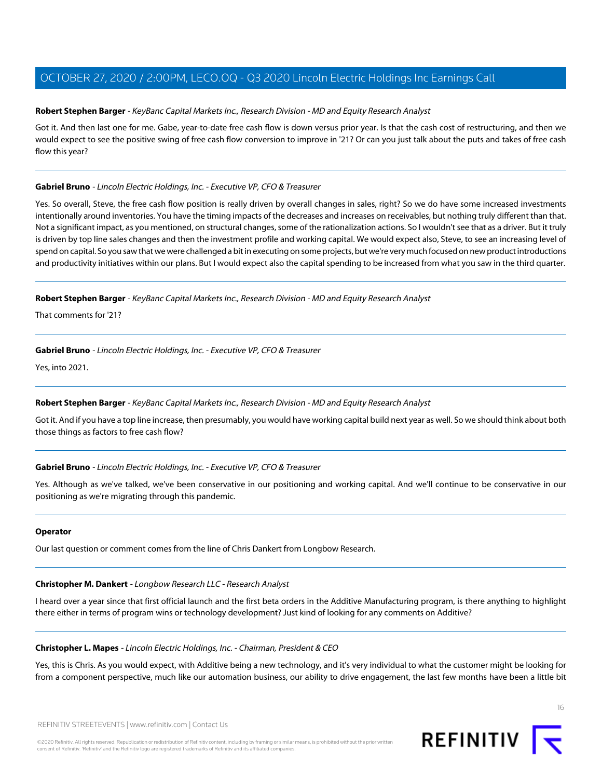#### **Robert Stephen Barger** - KeyBanc Capital Markets Inc., Research Division - MD and Equity Research Analyst

Got it. And then last one for me. Gabe, year-to-date free cash flow is down versus prior year. Is that the cash cost of restructuring, and then we would expect to see the positive swing of free cash flow conversion to improve in '21? Or can you just talk about the puts and takes of free cash flow this year?

#### **Gabriel Bruno** - Lincoln Electric Holdings, Inc. - Executive VP, CFO & Treasurer

Yes. So overall, Steve, the free cash flow position is really driven by overall changes in sales, right? So we do have some increased investments intentionally around inventories. You have the timing impacts of the decreases and increases on receivables, but nothing truly different than that. Not a significant impact, as you mentioned, on structural changes, some of the rationalization actions. So I wouldn't see that as a driver. But it truly is driven by top line sales changes and then the investment profile and working capital. We would expect also, Steve, to see an increasing level of spend on capital. So you saw that we were challenged a bit in executing on some projects, but we're very much focused on new product introductions and productivity initiatives within our plans. But I would expect also the capital spending to be increased from what you saw in the third quarter.

#### **Robert Stephen Barger** - KeyBanc Capital Markets Inc., Research Division - MD and Equity Research Analyst

That comments for '21?

#### **Gabriel Bruno** - Lincoln Electric Holdings, Inc. - Executive VP, CFO & Treasurer

Yes, into 2021.

## **Robert Stephen Barger** - KeyBanc Capital Markets Inc., Research Division - MD and Equity Research Analyst

Got it. And if you have a top line increase, then presumably, you would have working capital build next year as well. So we should think about both those things as factors to free cash flow?

#### **Gabriel Bruno** - Lincoln Electric Holdings, Inc. - Executive VP, CFO & Treasurer

Yes. Although as we've talked, we've been conservative in our positioning and working capital. And we'll continue to be conservative in our positioning as we're migrating through this pandemic.

#### **Operator**

Our last question or comment comes from the line of Chris Dankert from Longbow Research.

#### **Christopher M. Dankert** - Longbow Research LLC - Research Analyst

I heard over a year since that first official launch and the first beta orders in the Additive Manufacturing program, is there anything to highlight there either in terms of program wins or technology development? Just kind of looking for any comments on Additive?

#### **Christopher L. Mapes** - Lincoln Electric Holdings, Inc. - Chairman, President & CEO

Yes, this is Chris. As you would expect, with Additive being a new technology, and it's very individual to what the customer might be looking for from a component perspective, much like our automation business, our ability to drive engagement, the last few months have been a little bit